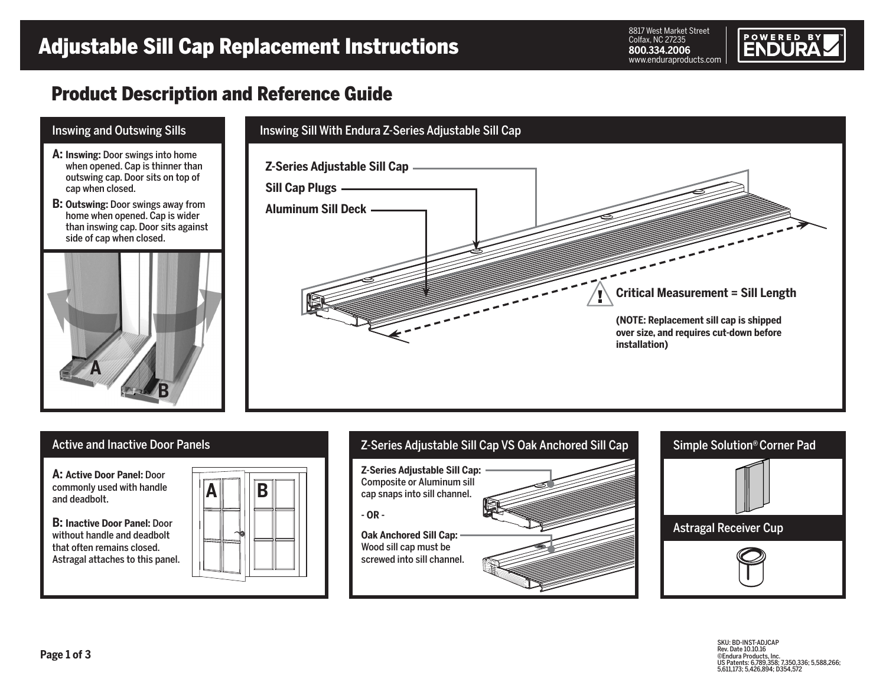8817 West Market Street Colfax, NC 27235 **800.334.2006**



## Product Description and Reference Guide





SKU: BD-INST-ADJCAP Rev. Date 10.10.16 ©Endura Products, Inc. US Patents: 6,789,358; 7,350,336; 5,588,266; 5,611,173; 5,426,894; D354,572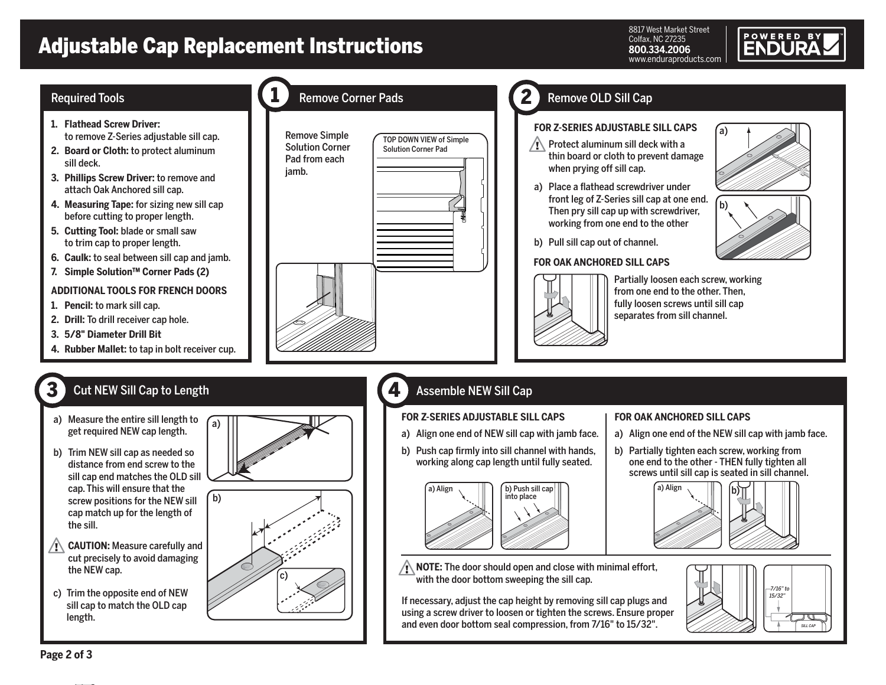# Adjustable Cap Replacement Instructions

1

8817 West Market Street Colfax, NC 27235 **800.334.2006** www.enduraproducts.com

# **POWERED BY**

#### Required Tools **Remove Corner Pads**

- **1. Flathead Screw Driver:**  to remove Z-Series adjustable sill cap.
- **2. Board or Cloth:** to protect aluminum sill deck.
- **3. Phillips Screw Driver:** to remove and attach Oak Anchored sill cap.
- **4. Measuring Tape:** for sizing new sill cap before cutting to proper length.
- **5. Cutting Tool:** blade or small saw to trim cap to proper length.
- **6. Caulk:** to seal between sill cap and jamb.
- **7. Simple Solution™ Corner Pads (2)**

#### **ADDITIONAL TOOLS FOR FRENCH DOORS**

- **1. Pencil:** to mark sill cap.
- **2. Drill:** To drill receiver cap hole.
- **3. 5/8" Diameter Drill Bit**

3

**4. Rubber Mallet:** to tap in bolt receiver cup.

## Cut NEW Sill Cap to Length

- a) Measure the entire sill length to get required NEW cap length.
- b) Trim NEW sill cap as needed so distance from end screw to the sill cap end matches the OLD sill cap. This will ensure that the screw positions for the NEW sill cap match up for the length of the sill.
- $\sqrt{1}$ **CAUTION:** Measure carefully and cut precisely to avoid damaging the NEW cap.
- c) Trim the opposite end of NEW sill cap to match the OLD cap length.



c)



4

## Remove OLD Sill Cap

2

#### **FOR Z-SERIES ADJUSTABLE SILL CAPS**

- $\sqrt{N}$  Protect aluminum sill deck with a thin board or cloth to prevent damage when prying off sill cap.
- a) Place a flathead screwdriver under front leg of Z-Series sill cap at one end. Then pry sill cap up with screwdriver, working from one end to the other



#### **FOR OAK ANCHORED SILL CAPS**



Partially loosen each screw, working from one end to the other. Then, fully loosen screws until sill cap separates from sill channel.

### Assemble NEW Sill Cap

#### **FOR Z-SERIES ADJUSTABLE SILL CAPS**

- a) Align one end of NEW sill cap with jamb face.
- b) Push cap firmly into sill channel with hands, working along cap length until fully seated.



 $\sqrt{N}$  **NOTE:** The door should open and close with minimal effort, with the door bottom sweeping the sill cap.

If necessary, adjust the cap height by removing sill cap plugs and using a screw driver to loosen or tighten the screws. Ensure proper and even door bottom seal compression, from 7/16" to 15/32".

#### **FOR OAK ANCHORED SILL CAPS**

a) Align one end of the NEW sill cap with jamb face.

a)

b)

b) Partially tighten each screw, working from one end to the other - THEN fully tighten all screws until sill cap is seated in sill channel.